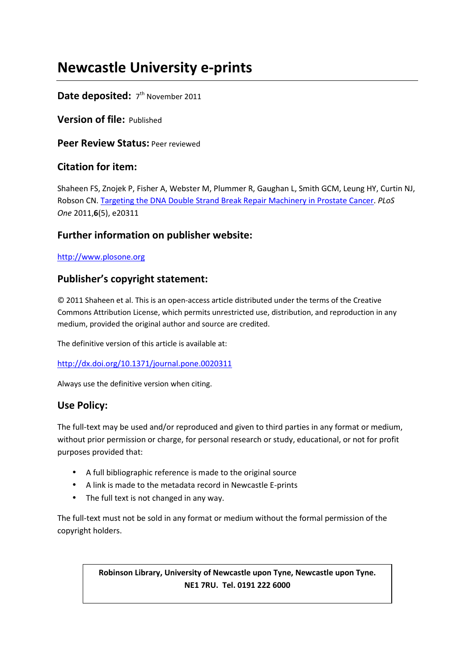# **Newcastle University e-prints**

# Date deposited: 7<sup>th</sup> November 2011

**Version of file:** Published

**Peer Review Status:** Peer reviewed

# **Citation for item:**

Shaheen FS, Znojek P, Fisher A, Webster M, Plummer R, Gaughan L, Smith GCM, Leung HY, Curtin NJ, Robson CN. Targeting the DNA Double Strand Break Repair Machinery in Prostate Cancer. *PLoS One* 2011,**6**(5), e20311

# **Further information on publisher website:**

## http://www.plosone.org

# **Publisher's copyright statement:**

© 2011 Shaheen et al. This is an open-access article distributed under the terms of the Creative Commons Attribution License, which permits unrestricted use, distribution, and reproduction in any medium, provided the original author and source are credited.

The definitive version of this article is available at:

http://dx.doi.org/10.1371/journal.pone.0020311

Always use the definitive version when citing.

# **Use Policy:**

The full-text may be used and/or reproduced and given to third parties in any format or medium, without prior permission or charge, for personal research or study, educational, or not for profit purposes provided that:

- A full bibliographic reference is made to the original source
- A link is made to the metadata record in Newcastle E-prints
- The full text is not changed in any way.

The full-text must not be sold in any format or medium without the formal permission of the copyright holders.

# **Robinson Library, University of Newcastle upon Tyne, Newcastle upon Tyne. NE1 7RU. Tel. 0191 222 6000**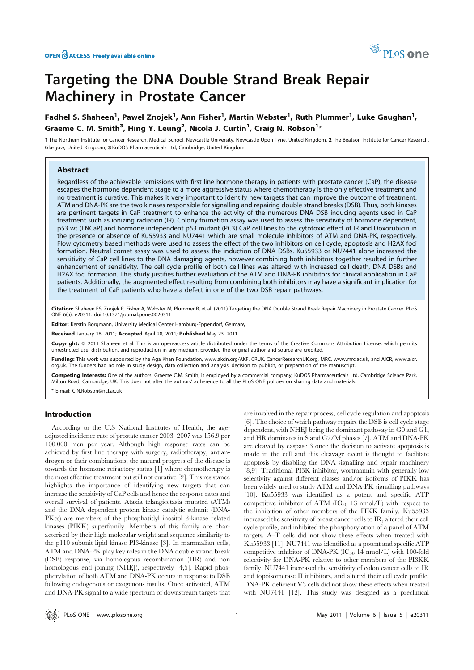

# Targeting the DNA Double Strand Break Repair Machinery in Prostate Cancer

## Fadhel S. Shaheen<sup>1</sup>, Pawel Znojek<sup>1</sup>, Ann Fisher<sup>1</sup>, Martin Webster<sup>1</sup>, Ruth Plummer<sup>1</sup>, Luke Gaughan<sup>1</sup>, Graeme C. M. Smith $^3$ , Hing Y. Leung $^2$ , Nicola J. Curtin $^1$ , Craig N. Robson $^{1_\ast}$

1 The Northern Institute for Cancer Research, Medical School, Newcastle University, Newcastle Upon Tyne, United Kingdom, 2 The Beatson Institute for Cancer Research, Glasgow, United Kingdom, 3 KuDOS Pharmaceuticals Ltd, Cambridge, United Kingdom

### Abstract

Regardless of the achievable remissions with first line hormone therapy in patients with prostate cancer (CaP), the disease escapes the hormone dependent stage to a more aggressive status where chemotherapy is the only effective treatment and no treatment is curative. This makes it very important to identify new targets that can improve the outcome of treatment. ATM and DNA-PK are the two kinases responsible for signalling and repairing double strand breaks (DSB). Thus, both kinases are pertinent targets in CaP treatment to enhance the activity of the numerous DNA DSB inducing agents used in CaP treatment such as ionizing radiation (IR). Colony formation assay was used to assess the sensitivity of hormone dependent, p53 wt (LNCaP) and hormone independent p53 mutant (PC3) CaP cell lines to the cytotoxic effect of IR and Doxorubicin in the presence or absence of Ku55933 and NU7441 which are small molecule inhibitors of ATM and DNA-PK, respectively. Flow cytometry based methods were used to assess the effect of the two inhibitors on cell cycle, apoptosis and H2AX foci formation. Neutral comet assay was used to assess the induction of DNA DSBs. Ku55933 or NU7441 alone increased the sensitivity of CaP cell lines to the DNA damaging agents, however combining both inhibitors together resulted in further enhancement of sensitivity. The cell cycle profile of both cell lines was altered with increased cell death, DNA DSBs and H2AX foci formation. This study justifies further evaluation of the ATM and DNA-PK inhibitors for clinical application in CaP patients. Additionally, the augmented effect resulting from combining both inhibitors may have a significant implication for the treatment of CaP patients who have a defect in one of the two DSB repair pathways.

Citation: Shaheen FS, Znojek P, Fisher A, Webster M, Plummer R, et al. (2011) Targeting the DNA Double Strand Break Repair Machinery in Prostate Cancer. PLoS ONE 6(5): e20311. doi:10.1371/journal.pone.0020311

Editor: Kerstin Borgmann, University Medical Center Hamburg-Eppendorf, Germany

Received January 18, 2011; Accepted April 28, 2011; Published May 23, 2011

Copyright: © 2011 Shaheen et al. This is an open-access article distributed under the terms of the Creative Commons Attribution License, which permits unrestricted use, distribution, and reproduction in any medium, provided the original author and source are credited.

Funding: This work was supported by the Aga Khan Foundation, www.akdn.org/AKF, CRUK, CancerResearchUK.org, MRC, www.mrc.ac.uk, and AICR, www.aicr. org.uk. The funders had no role in study design, data collection and analysis, decision to publish, or preparation of the manuscript.

Competing Interests: One of the authors, Graeme C.M. Smith, is employed by a commercial company, KuDOS Pharmaceuticals Ltd, Cambridge Science Park, Milton Road, Cambridge, UK. This does not alter the authors' adherence to all the PLoS ONE policies on sharing data and materials.

\* E-mail: C.N.Robson@ncl.ac.uk

### Introduction

According to the U.S National Institutes of Health, the ageadjusted incidence rate of prostate cancer 2003–2007 was 156.9 per 100.000 men per year. Although high response rates can be achieved by first line therapy with surgery, radiotherapy, antiandrogen or their combinations; the natural progress of the disease is towards the hormone refractory status [1] where chemotherapy is the most effective treatment but still not curative [2]. This resistance highlights the importance of identifying new targets that can increase the sensitivity of CaP cells and hence the response rates and overall survival of patients. Ataxia telangiectasia mutated (ATM) and the DNA dependent protein kinase catalytic subunit (DNA-PKcs) are members of the phosphatidyl inositol 3-kinase related kinases (PIKK) superfamily. Members of this family are characterised by their high molecular weight and sequence similarity to the p110 subunit lipid kinase PI3-kinase [3]. In mammalian cells, ATM and DNA-PK play key roles in the DNA double strand break (DSB) response, via homologous recombination (HR) and non homologous end joining (NHEJ), respectively [4,5]. Rapid phosphorylation of both ATM and DNA-PK occurs in response to DSB following endogenous or exogenous insults. Once activated, ATM and DNA-PK signal to a wide spectrum of downstream targets that are involved in the repair process, cell cycle regulation and apoptosis [6]. The choice of which pathway repairs the DSB is cell cycle stage dependent, with NHEJ being the dominant pathway in G0 and G1, and HR dominates in S and G2/M phases [7]. ATM and DNA-PK are cleaved by caspase 3 once the decision to activate apoptosis is made in the cell and this cleavage event is thought to facilitate apoptosis by disabling the DNA signalling and repair machinery [8,9]. Traditional PI3K inhibitor, wortmannin with generally low selectivity against different classes and/or isoforms of PIKK has been widely used to study ATM and DNA-PK signalling pathways [10]. Ku55933 was identified as a potent and specific ATP competitive inhibitor of ATM  $(IC_{50}$  13 nmol/L) with respect to the inhibition of other members of the PIKK family. Ku55933 increased the sensitivity of breast cancer cells to IR, altered their cell cycle profile, and inhibited the phosphorylation of a panel of ATM targets. A–T cells did not show these effects when treated with Ku55933 [11]. NU7441 was identified as a potent and specific ATP competitive inhibitor of DNA-PK  $(IC_{50} 14 \text{ nmol/L})$  with 100-fold selectivity for DNA-PK relative to other members of the PI3KK family. NU7441 increased the sensitivity of colon cancer cells to IR and topoisomerase II inhibitors, and altered their cell cycle profile. DNA-PK deficient V3 cells did not show these effects when treated with NU7441 [12]. This study was designed as a preclinical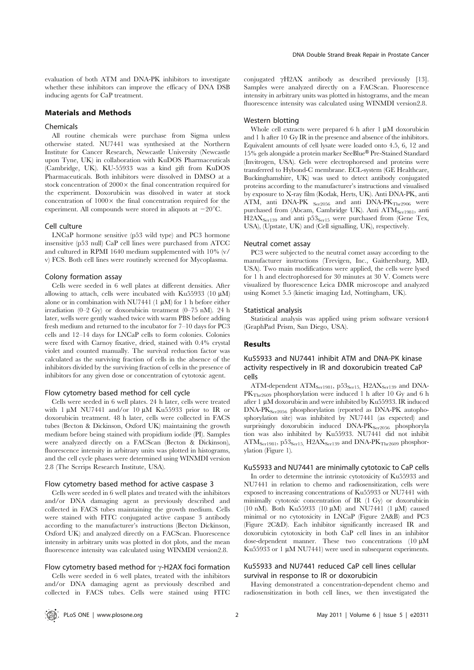#### Materials and Methods

#### Chemicals

All routine chemicals were purchase from Sigma unless otherwise stated. NU7441 was synthesised at the Northern Institute for Cancer Research, Newcastle University (Newcastle upon Tyne, UK) in collaboration with KuDOS Pharmaceuticals (Cambridge, UK). KU-55933 was a kind gift from KuDOS Pharmaceuticals. Both inhibitors were dissolved in DMSO at a stock concentration of  $2000 \times$  the final concentration required for the experiment. Doxorubicin was dissolved in water at stock concentration of  $1000 \times$  the final concentration required for the experiment. All compounds were stored in aliquots at  $-20^{\circ}$ C.

#### Cell culture

LNCaP hormone sensitive (p53 wild type) and PC3 hormone insensitive (p53 null) CaP cell lines were purchased from ATCC and cultured in RPMI 1640 medium supplemented with 10% (v/ v) FCS. Both cell lines were routinely screened for Mycoplasma.

#### Colony formation assay

Cells were seeded in 6 well plates at different densities. After allowing to attach, cells were incubated with Ku55933 (10  $\mu$ M) alone or in combination with NU7441 (1  $\mu$ M) for 1 h before either irradiation (0–2 Gy) or doxorubicin treatment (0–75 nM). 24 h later, wells were gently washed twice with warm PBS before adding fresh medium and returned to the incubator for 7–10 days for PC3 cells and 12–14 days for LNCaP cells to form colonies. Colonies were fixed with Carnoy fixative, dried, stained with 0.4% crystal violet and counted manually. The survival reduction factor was calculated as the surviving fraction of cells in the absence of the inhibitors divided by the surviving fraction of cells in the presence of inhibitors for any given dose or concentration of cytotoxic agent.

#### Flow cytometry based method for cell cycle

Cells were seeded in 6 well plates. 24 h later, cells were treated with 1 µM NU7441 and/or 10 µM Ku55933 prior to IR or doxorubicin treatment. 48 h later, cells were collected in FACS tubes (Becton & Dickinson, Oxford UK) maintaining the growth medium before being stained with propidium iodide (PI). Samples were analyzed directly on a FACScan (Becton & Dickinson), fluorescence intensity in arbitrary units was plotted in histograms, and the cell cycle phases were determined using WINMDI version 2.8 (The Scrrips Research Institute, USA).

#### Flow cytometry based method for active caspase 3

Cells were seeded in 6 well plates and treated with the inhibitors and/or DNA damaging agent as previously described and collected in FACS tubes maintaining the growth medium. Cells were stained with FITC conjugated active caspase 3 antibody according to the manufacturer's instructions (Becton Dickinson, Oxford UK) and analyzed directly on a FACScan. Fluorescence intensity in arbitrary units was plotted in dot plots, and the mean fluorescence intensity was calculated using WINMDI version2.8.

#### Flow cytometry based method for  $\gamma$ -H2AX foci formation

Cells were seeded in 6 well plates, treated with the inhibitors and/or DNA damaging agent as previously described and collected in FACS tubes. Cells were stained using FITC conjugated  $\gamma$ H2AX antibody as described previously [13]. Samples were analyzed directly on a FACScan. Fluorescence intensity in arbitrary units was plotted in histograms, and the mean fluorescence intensity was calculated using WINMDI version2.8.

#### Western blotting

Whole cell extracts were prepared  $6 h$  after 1  $\mu$ M doxorubicin and 1 h after 10 Gy IR in the presence and absence of the inhibitors. Equivalent amounts of cell lysate were loaded onto 4.5, 6, 12 and 15% gels alongside a protein marker SeeBlue® Pre-Stained Standard (Invitrogen, USA). Gels were electrophoresed and proteins were transferred to Hybond-C membrane. ECL-system (GE Healthcare, Buckinghamshire, UK) was used to detect antibody conjugated proteins according to the manufacturer's instructions and visualised by exposure to X-ray film (Kodak, Herts, UK). Anti DNA-PK, anti ATM, anti DNA-PK Ser2056 and anti DNA-PKThr2906 were purchased from (Abcam, Cambridge UK). Anti ATM<sub>Ser1981</sub>, anti  $H2AX<sub>Ser139</sub>$  and anti p53<sub>Ser15</sub> were purchased from (Gene Tex, USA), (Upstate, UK) and (Cell signalling, UK), respectively.

#### Neutral comet assay

PC3 were subjected to the neutral comet assay according to the manufacturer instructions (Trevigen, Inc., Gaithersburg, MD, USA). Two main modifications were applied, the cells were lysed for 1 h and electrophoresed for 30 minutes at 30 V. Comets were visualized by fluorescence Leica DMR microscope and analyzed using Komet 5.5 (kinetic imaging Ltd, Nottingham, UK).

#### Statistical analysis

Statistical analysis was applied using prism software version4 (GraphPad Prism, San Diego, USA).

### Results

### Ku55933 and NU7441 inhibit ATM and DNA-PK kinase activity respectively in IR and doxorubicin treated CaP cells

ATM-dependent ATM<sub>Ser1981</sub>, p53<sub>Ser15</sub>, H2AX<sub>Ser139</sub> and DNA-PK<sub>Thr2609</sub> phosphorylation were induced 1 h after 10 Gy and 6 h after 1  $\mu$ M doxorubicin and were inhibited by Ku55933. IR induced DNA-PK<sub>Ser2056</sub> phosphorylation (reported as DNA-PK autophosphorylation site) was inhibited by NU7441 (as expected) and surprisingly doxorubicin induced DNA-PKSer2056 phosphoryla tion was also inhibited by Ku55933. NU7441 did not inhibit AT $M_{\text{Ser1981}}$ , p53<sub>Ser15</sub>, H2A $X_{\text{Ser139}}$  and DNA-P $K_{\text{Thr2609}}$  phosphorylation (Figure 1).

### Ku55933 and NU7441 are minimally cytotoxic to CaP cells

In order to determine the intrinsic cytotoxicity of Ku55933 and NU7441 in relation to chemo and radiosensitization, cells were exposed to increasing concentrations of Ku55933 or NU7441 with minimally cytotoxic concentration of IR (1 Gy) or doxorubicin (10 nM). Both Ku55933 (10  $\mu$ M) and NU7441 (1  $\mu$ M) caused minimal or no cytotoxicity in LNCaP (Figure 2A&B) and PC3 (Figure 2C&D). Each inhibitor significantly increased IR and doxorubicin cytotoxicity in both CaP cell lines in an inhibitor dose-dependent manner. These two concentrations  $(10 \mu M)$ Ku55933 or 1  $\mu$ M NU7441) were used in subsequent experiments.

#### Ku55933 and NU7441 reduced CaP cell lines cellular survival in response to IR or doxorubicin

Having demonstrated a concentration-dependent chemo and radiosensitization in both cell lines, we then investigated the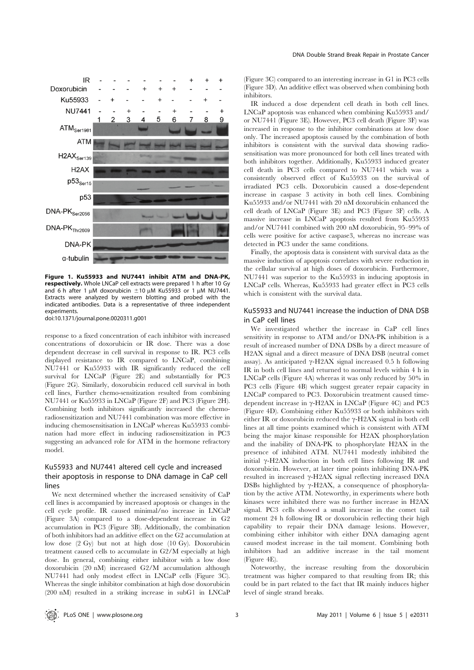

Figure 1. Ku55933 and NU7441 inhibit ATM and DNA-PK, respectively. Whole LNCaP cell extracts were prepared 1 h after 10 Gy and 6 h after 1  $\mu$ M doxorubicin  $\pm$ 10  $\mu$ M Ku55933 or 1  $\mu$ M NU7441. Extracts were analyzed by western blotting and probed with the indicated antibodies. Data is a representative of three independent experiments.

doi:10.1371/journal.pone.0020311.g001

response to a fixed concentration of each inhibitor with increased concentrations of doxorubicin or IR dose. There was a dose dependent decrease in cell survival in response to IR. PC3 cells displayed resistance to IR compared to LNCaP, combining NU7441 or Ku55933 with IR significantly reduced the cell survival for LNCaP (Figure 2E) and substantially for PC3 (Figure 2G). Similarly, doxorubicin reduced cell survival in both cell lines, Further chemo-sensitization resulted from combining NU7441 or Ku55933 in LNCaP (Figure 2F) and PC3 (Figure 2H). Combining both inhibitors significantly increased the chemoradiosensitization and NU7441 combination was more effective in inducing chemosensitisation in LNCaP whereas Ku55933 combination had more effect in inducing radiosensitization in PC3 suggesting an advanced role for ATM in the hormone refractory model.

### Ku55933 and NU7441 altered cell cycle and increased their apoptosis in response to DNA damage in CaP cell lines

We next determined whether the increased sensitivity of CaP cell lines is accompanied by increased apoptosis or changes in the cell cycle profile. IR caused minimal/no increase in LNCaP (Figure 3A) compared to a dose-dependent increase in G2 accumulation in PC3 (Figure 3B). Additionally, the combination of both inhibitors had an additive effect on the G2 accumulation at low dose (2 Gy) but not at high dose (10 Gy). Doxorubicin treatment caused cells to accumulate in G2/M especially at high dose. In general, combining either inhibitor with a low dose doxorubicin (20 nM) increased G2/M accumulation although NU7441 had only modest effect in LNCaP cells (Figure 3C). Whereas the single inhibitor combination at high dose doxorubicin (200 nM) resulted in a striking increase in subG1 in LNCaP (Figure 3C) compared to an interesting increase in G1 in PC3 cells (Figure 3D). An additive effect was observed when combining both inhibitors.

IR induced a dose dependent cell death in both cell lines. LNCaP apoptosis was enhanced when combining Ku55933 and/ or NU7441 (Figure 3E). However, PC3 cell death (Figure 3F) was increased in response to the inhibitor combinations at low dose only. The increased apoptosis caused by the combination of both inhibitors is consistent with the survival data showing radiosensitisation was more pronounced for both cell lines treated with both inhibitors together. Additionally, Ku55933 induced greater cell death in PC3 cells compared to NU7441 which was a consistently observed effect of Ku55933 on the survival of irradiated PC3 cells. Doxorubicin caused a dose-dependent increase in caspase 3 activity in both cell lines. Combining Ku55933 and/or NU7441 with 20 nM doxorubicin enhanced the cell death of LNCaP (Figure 3E) and PC3 (Figure 3F) cells. A massive increase in LNCaP apoptosis resulted from Ku55933 and/or NU7441 combined with 200 nM doxorubicin, 95–99% of cells were positive for active caspase3, whereas no increase was detected in PC3 under the same conditions.

Finally, the apoptosis data is consistent with survival data as the massive induction of apoptosis correlates with severe reduction in the cellular survival at high doses of doxorubicin. Furthermore, NU7441 was superior to the Ku55933 in inducing apoptosis in LNCaP cells. Whereas, Ku55933 had greater effect in PC3 cells which is consistent with the survival data.

### Ku55933 and NU7441 increase the induction of DNA DSB in CaP cell lines

We investigated whether the increase in CaP cell lines sensitivity in response to ATM and/or DNA-PK inhibition is a result of increased number of DNA DSBs by a direct measure of H2AX signal and a direct measure of DNA DSB (neutral comet assay). As anticipated  $\gamma$ -H2AX signal increased 0.5 h following IR in both cell lines and returned to normal levels within 4 h in LNCaP cells (Figure 4A) whereas it was only reduced by 50% in PC3 cells (Figure 4B) which suggest greater repair capacity in LNCaP compared to PC3. Doxorubicin treatment caused timedependent increase in  $\gamma$ -H2AX in LNCaP (Figure 4C) and PC3 (Figure 4D). Combining either Ku55933 or both inhibitors with either IR or doxorubicin reduced the  $\gamma$ -H2AX signal in both cell lines at all time points examined which is consistent with ATM being the major kinase responsible for H2AX phosphorylation and the inability of DNA-PK to phosphorylate H2AX in the presence of inhibited ATM. NU7441 modestly inhibited the initial  $\gamma$ -H2AX induction in both cell lines following IR and doxorubicin. However, at later time points inhibiting DNA-PK resulted in increased  $\gamma$ -H2AX signal reflecting increased DNA DSBs highlighted by  $\gamma$ -H2AX, a consequence of phosphorylation by the active ATM. Noteworthy, in experiments where both kinases were inhibited there was no further increase in H2AX signal. PC3 cells showed a small increase in the comet tail moment 24 h following IR or doxorubicin reflecting their high capability to repair their DNA damage lesions. However, combining either inhibitor with either DNA damaging agent caused modest increase in the tail moment. Combining both inhibitors had an additive increase in the tail moment (Figure 4E).

Noteworthy, the increase resulting from the doxorubicin treatment was higher compared to that resulting from IR; this could be in part related to the fact that IR mainly induces higher level of single strand breaks.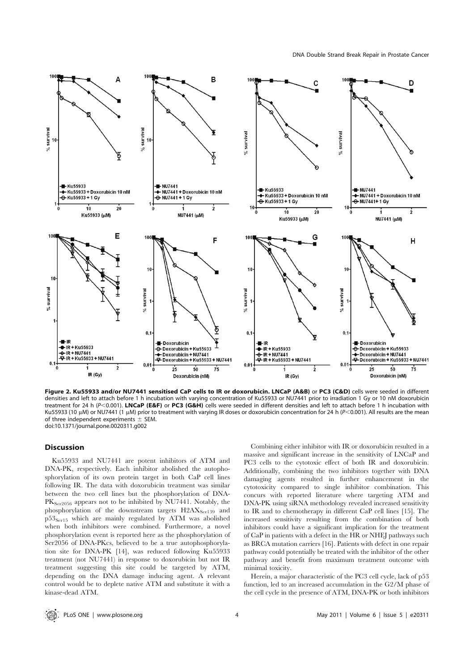

Figure 2. Ku55933 and/or NU7441 sensitised CaP cells to IR or doxorubicin. LNCaP (A&B) or PC3 (C&D) cells were seeded in different densities and left to attach before 1 h incubation with varying concentration of Ku55933 or NU7441 prior to irradiation 1 Gy or 10 nM doxorubicin treatment for 24 h ( $P < 0.001$ ). LNCaP (E&F) or PC3 (G&H) cells were seeded in different densities and left to attach before 1 h incubation with Ku55933 (10 µM) or NU7441 (1 µM) prior to treatment with varying IR doses or doxorubicin concentration for 24 h (P<0.001). All results are the mean of three independent experiments  $\pm$  SEM. doi:10.1371/journal.pone.0020311.g002

### Discussion

Ku55933 and NU7441 are potent inhibitors of ATM and DNA-PK, respectively. Each inhibitor abolished the autophosphorylation of its own protein target in both CaP cell lines following IR. The data with doxorubicin treatment was similar between the two cell lines but the phosphorylation of DNA- $PK<sub>Ser2056</sub>$  appears not to be inhibited by NU7441. Notably, the phosphorylation of the downstream targets H2AXSer139 and  $p53_{\text{Ser15}}$  which are mainly regulated by ATM was abolished when both inhibitors were combined. Furthermore, a novel phosphorylation event is reported here as the phosphorylation of Ser2056 of DNA-PKcs, believed to be a true autophosphorylation site for DNA-PK [14], was reduced following Ku55933 treatment (not NU7441) in response to doxorubicin but not IR treatment suggesting this site could be targeted by ATM, depending on the DNA damage inducing agent. A relevant control would be to deplete native ATM and substitute it with a kinase-dead ATM.

Combining either inhibitor with IR or doxorubicin resulted in a massive and significant increase in the sensitivity of LNCaP and PC3 cells to the cytotoxic effect of both IR and doxorubicin. Additionally, combining the two inhibitors together with DNA damaging agents resulted in further enhancement in the cytotoxicity compared to single inhibitor combination. This concurs with reported literature where targeting ATM and DNA-PK using siRNA methodology revealed increased sensitivity to IR and to chemotherapy in different CaP cell lines [15]. The increased sensitivity resulting from the combination of both inhibitors could have a significant implication for the treatment of CaP in patients with a defect in the HR or NHEJ pathways such as BRCA mutation carriers [16]. Patients with defect in one repair pathway could potentially be treated with the inhibitor of the other pathway and benefit from maximum treatment outcome with minimal toxicity.

Herein, a major characteristic of the PC3 cell cycle, lack of p53 function, led to an increased accumulation in the G2/M phase of the cell cycle in the presence of ATM, DNA-PK or both inhibitors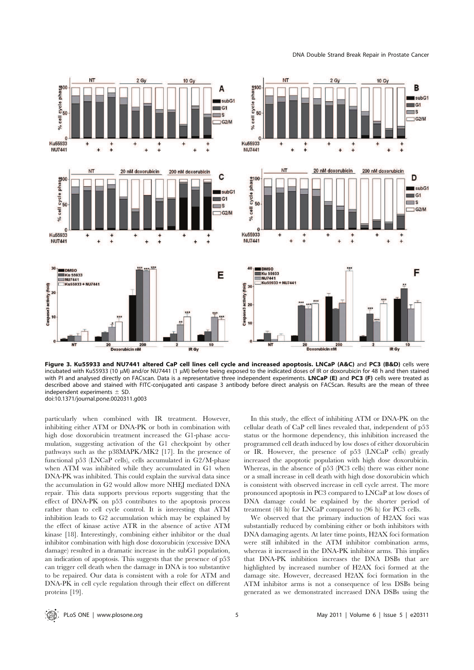DNA Double Strand Break Repair in Prostate Cancer



Figure 3. Ku55933 and NU7441 altered CaP cell lines cell cycle and increased apoptosis. LNCaP (A&C) and PC3 (B&D) cells were incubated with Ku55933 (10 μM) and/or NU7441 (1 μM) before being exposed to the indicated doses of IR or doxorubicin for 48 h and then stained with PI and analysed directly on FACscan. Data is a representative three independent experiments. LNCaP (E) and PC3 (F) cells were treated as described above and stained with FITC-conjugated anti caspase 3 antibody before direct analysis on FACScan. Results are the mean of three independent experiments  $\pm$  SD. doi:10.1371/journal.pone.0020311.g003

particularly when combined with IR treatment. However, inhibiting either ATM or DNA-PK or both in combination with high dose doxorubicin treatment increased the G1-phase accumulation, suggesting activation of the G1 checkpoint by other pathways such as the p38MAPK/MK2 [17]. In the presence of functional p53 (LNCaP cells), cells accumulated in G2/M-phase when ATM was inhibited while they accumulated in G1 when DNA-PK was inhibited. This could explain the survival data since the accumulation in G2 would allow more NHEJ mediated DNA repair. This data supports previous reports suggesting that the effect of DNA-PK on p53 contributes to the apoptosis process rather than to cell cycle control. It is interesting that ATM inhibition leads to G2 accumulation which may be explained by the effect of kinase active ATR in the absence of active ATM kinase [18]. Interestingly, combining either inhibitor or the dual inhibitor combination with high dose doxorubicin (excessive DNA damage) resulted in a dramatic increase in the subG1 population, an indication of apoptosis. This suggests that the presence of p53 can trigger cell death when the damage in DNA is too substantive to be repaired. Our data is consistent with a role for ATM and DNA-PK in cell cycle regulation through their effect on different proteins [19].

In this study, the effect of inhibiting ATM or DNA-PK on the cellular death of CaP cell lines revealed that, independent of p53 status or the hormone dependency, this inhibition increased the programmed cell death induced by low doses of either doxorubicin or IR. However, the presence of p53 (LNCaP cells) greatly increased the apoptotic population with high dose doxorubicin. Whereas, in the absence of p53 (PC3 cells) there was either none or a small increase in cell death with high dose doxorubicin which is consistent with observed increase in cell cycle arrest. The more pronounced apoptosis in PC3 compared to LNCaP at low doses of DNA damage could be explained by the shorter period of treatment (48 h) for LNCaP compared to (96 h) for PC3 cells.

We observed that the primary induction of H2AX foci was substantially reduced by combining either or both inhibitors with DNA damaging agents. At later time points, H2AX foci formation were still inhibited in the ATM inhibitor combination arms, whereas it increased in the DNA-PK inhibitor arms. This implies that DNA-PK inhibition increases the DNA DSBs that are highlighted by increased number of H2AX foci formed at the damage site. However, decreased H2AX foci formation in the ATM inhibitor arms is not a consequence of less DSBs being generated as we demonstrated increased DNA DSBs using the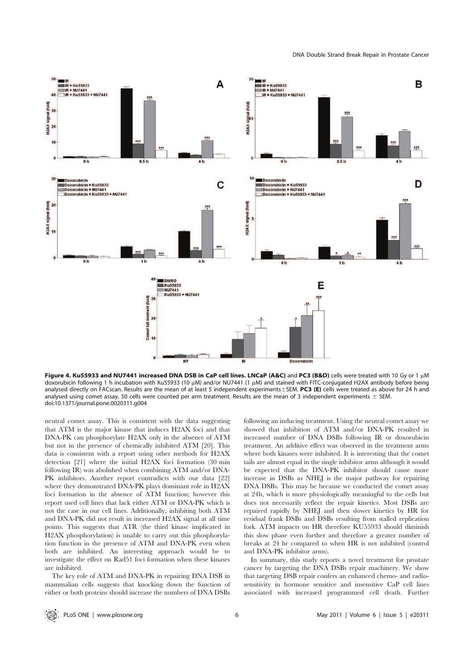

Figure 4. Ku55933 and NU7441 increased DNA DSB in CaP cell lines. LNCaP (A&C) and PC3 (B&D) cells were treated with 10 Gy or 1 µM doxorubicin following 1 h incubation with Ku55933 (10 µM) and/or NU7441 (1 µM) and stained with FITC-conjugated H2AX antibody before being analysed directly on FACscan. Results are the mean of at least 5 independent experiments SEM. PC3 (E) cells were treated as above for 24 h and analysed using comet assay, 50 cells were counted per arm treatment. Results are the mean of 3 independent experiments  $\pm$  SEM. doi:10.1371/journal.pone.0020311.g004

neutral comet assay. This is consistent with the data suggesting that ATM is the major kinase that induces H2AX foci and that DNA-PK can phosphorylate H2AX only in the absence of ATM but not in the presence of chemically inhibited ATM [20]. This data is consistent with a report using other methods for H2AX detection [21] where the initial H2AX foci formation (30 min following IR) was abolished when combining ATM and/or DNA-PK inhibitors. Another report contradicts with our data [22] where they demonstrated DNA-PK plays dominant role in H2AX foci formation in the absence of ATM function; however this report used cell lines that lack either ATM or DNA-PK which is not the case in our cell lines. Additionally, inhibiting both ATM and DNA-PK did not result in increased H2AX signal at all time points. This suggests that ATR (the third kinase implicated in H2AX phosphorylation) is unable to carry out this phosphorylation function in the presence of ATM and DNA-PK even when both are inhibited. An interesting approach would be to investigate the effect on Rad51 foci formation when these kinases are inhibited.

The key role of ATM and DNA-PK in repairing DNA DSB in mammalian cells suggests that knocking down the function of either or both proteins should increase the numbers of DNA DSBs following an inducing treatment. Using the neutral comet assay we showed that inhibition of ATM and/or DNA-PK resulted in increased number of DNA DSBs following IR or doxorubicin treatment. An additive effect was observed in the treatment arms where both kinases were inhibited. It is interesting that the comet tails are almost equal in the single inhibitor arms although it would be expected that the DNA-PK inhibitor should cause more increase in DSBs as NHEJ is the major pathway for repairing DNA DSBs. This may be because we conducted the comet assay at 24h, which is more physiologically meaningful to the cells but does not necessarily reflect the repair kinetics. Most DSBs are repaired rapidly by NHEJ and then slower kinetics by HR for residual frank DSBs and DSBs resulting from stalled replication fork. ATM impacts on HR therefore KU55933 should diminish this slow phase even further and therefore a greater number of breaks at 24 hr compared to when HR is not inhibited (control and DNA-PK inhibitor arms).

In summary, this study reports a novel treatment for prostate cancer by targeting the DNA DSBs repair machinery. We show that targeting DSB repair confers an enhanced chemo- and radiosensitivity in hormone sensitive and insensitive CaP cell lines associated with increased programmed cell death. Further